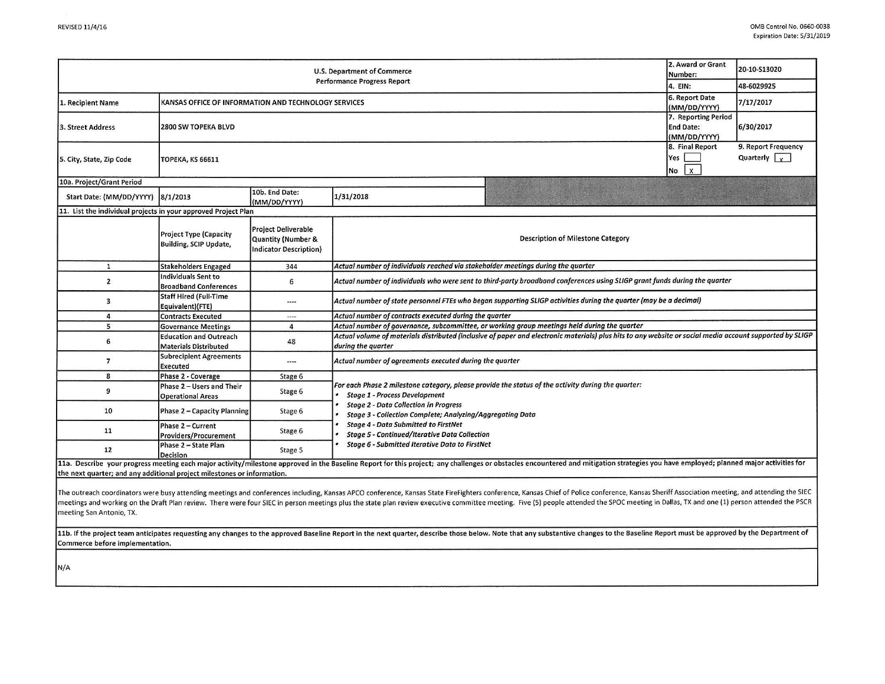| U.S. Department of Commerce<br><b>Performance Progress Report</b> |                                                                |                                                                            |                                                                                                                                                                                                                                                         |                                                                                                                                                                                                                                |  | 20-10-S13020                                |  |  |  |
|-------------------------------------------------------------------|----------------------------------------------------------------|----------------------------------------------------------------------------|---------------------------------------------------------------------------------------------------------------------------------------------------------------------------------------------------------------------------------------------------------|--------------------------------------------------------------------------------------------------------------------------------------------------------------------------------------------------------------------------------|--|---------------------------------------------|--|--|--|
|                                                                   |                                                                |                                                                            |                                                                                                                                                                                                                                                         |                                                                                                                                                                                                                                |  | 48-6029925                                  |  |  |  |
| 1. Recipient Name                                                 | KANSAS OFFICE OF INFORMATION AND TECHNOLOGY SERVICES           |                                                                            |                                                                                                                                                                                                                                                         |                                                                                                                                                                                                                                |  | 7/17/2017                                   |  |  |  |
| 3. Street Address                                                 | 2800 SW TOPEKA BLVD                                            |                                                                            |                                                                                                                                                                                                                                                         |                                                                                                                                                                                                                                |  | 6/30/2017                                   |  |  |  |
| 5. City, State, Zip Code                                          | <b>TOPEKA, KS 66611</b>                                        |                                                                            |                                                                                                                                                                                                                                                         |                                                                                                                                                                                                                                |  | 9. Report Frequency<br>Quarterly $\sqrt{x}$ |  |  |  |
| 10a. Project/Grant Period                                         |                                                                |                                                                            |                                                                                                                                                                                                                                                         |                                                                                                                                                                                                                                |  |                                             |  |  |  |
| Start Date: (MM/DD/YYYY)                                          | 8/1/2013                                                       | 10b. End Date:<br>(MM/DD/YYYY)                                             | 1/31/2018                                                                                                                                                                                                                                               |                                                                                                                                                                                                                                |  |                                             |  |  |  |
| 11. List the individual projects in your approved Project Plan    |                                                                |                                                                            |                                                                                                                                                                                                                                                         |                                                                                                                                                                                                                                |  |                                             |  |  |  |
|                                                                   | <b>Project Type (Capacity</b><br><b>Building, SCIP Update,</b> | <b>Project Deliverable</b><br>Quantity (Number &<br>Indicator Description) | <b>Description of Milestone Category</b>                                                                                                                                                                                                                |                                                                                                                                                                                                                                |  |                                             |  |  |  |
| $\mathbf{1}$                                                      | <b>Stakeholders Engaged</b>                                    | 344                                                                        | Actual number of individuals reached via stakeholder meetings during the quarter                                                                                                                                                                        |                                                                                                                                                                                                                                |  |                                             |  |  |  |
| $\mathbf{2}$                                                      | Individuals Sent to<br><b>Broadband Conferences</b>            | 6                                                                          | Actual number of individuals who were sent to third-party broadband conferences using SLIGP grant funds during the quarter                                                                                                                              |                                                                                                                                                                                                                                |  |                                             |  |  |  |
| 3                                                                 | <b>Staff Hired (Full-Time</b><br>Equivalent)(FTE)              | $---$                                                                      | Actual number of state personnel FTEs who began supporting SLIGP activities during the quarter (may be a decimal)                                                                                                                                       |                                                                                                                                                                                                                                |  |                                             |  |  |  |
| 4                                                                 | <b>Contracts Executed</b>                                      | $\cdots$                                                                   | Actual number of contracts executed during the quarter                                                                                                                                                                                                  |                                                                                                                                                                                                                                |  |                                             |  |  |  |
| 5                                                                 | <b>Governance Meetings</b>                                     | 4                                                                          | Actual number of governance, subcommittee, or working group meetings held during the quarter                                                                                                                                                            |                                                                                                                                                                                                                                |  |                                             |  |  |  |
| 6                                                                 | <b>Education and Outreach</b><br><b>Materials Distributed</b>  | 48                                                                         | Actual volume of materials distributed (inclusive of paper and electronic materials) plus hits to any website or social media account supported by SLIGP<br>during the quarter                                                                          |                                                                                                                                                                                                                                |  |                                             |  |  |  |
| 7                                                                 | <b>Subrecipient Agreements</b><br>Executed                     | ----                                                                       | Actual number of agreements executed during the quarter                                                                                                                                                                                                 |                                                                                                                                                                                                                                |  |                                             |  |  |  |
| 8                                                                 | Phase 2 - Coverage                                             | Stage 6                                                                    |                                                                                                                                                                                                                                                         |                                                                                                                                                                                                                                |  |                                             |  |  |  |
| 9                                                                 | Phase 2 - Users and Their<br><b>Operational Areas</b>          | Stage 6                                                                    | For each Phase 2 milestone category, please provide the status of the activity during the quarter:<br><b>Stage 1 - Process Development</b><br><b>Stage 2 - Data Collection in Progress</b><br>Stage 3 - Collection Complete; Analyzing/Aggregating Data |                                                                                                                                                                                                                                |  |                                             |  |  |  |
| 10                                                                | Phase 2 - Capacity Planning                                    | Stage 6                                                                    |                                                                                                                                                                                                                                                         |                                                                                                                                                                                                                                |  |                                             |  |  |  |
| 11                                                                | Phase 2 - Current<br>Providers/Procurement                     | Stage 6                                                                    | <b>Stage 4 - Data Submitted to FirstNet</b><br><b>Stage 5 - Continued/Iterative Data Collection</b><br>Stage 6 - Submitted Iterative Data to FirstNet                                                                                                   |                                                                                                                                                                                                                                |  |                                             |  |  |  |
| 12                                                                | Phase 2 - State Plan<br><b>Decision</b>                        | Stage 5                                                                    |                                                                                                                                                                                                                                                         |                                                                                                                                                                                                                                |  |                                             |  |  |  |
|                                                                   |                                                                |                                                                            |                                                                                                                                                                                                                                                         | 11a. Describe your progress meeting each major activity/milestone approved in the Baseline Report for this project; any challenges or obstacles encountered and mitigation strategies you have employed; planned major activit |  |                                             |  |  |  |

the next quarter; and any additional project milestones or information.

The outreach coordinators were busy attending meetings and conferences including, Kansas APCO conference, Kansas State FireFighters conference, Kansas Chief of Police conference, Kansas Sheriff Association meeting, and att meetings and working on the Draft Plan review. There were four SIEC in person meetings plus the state plan review executive committee meeting. Five (5) people attended the SPOC meeting in Dallas, TX and one (1) person atte meeting San Antonio, TX.

11b. If the project team anticipates requesting any changes to the approved Baseline Report in the next quarter, describe those below. Note that any substantive changes to the Baseline Report must be approved by the Depart Commerce before implementation.

N/A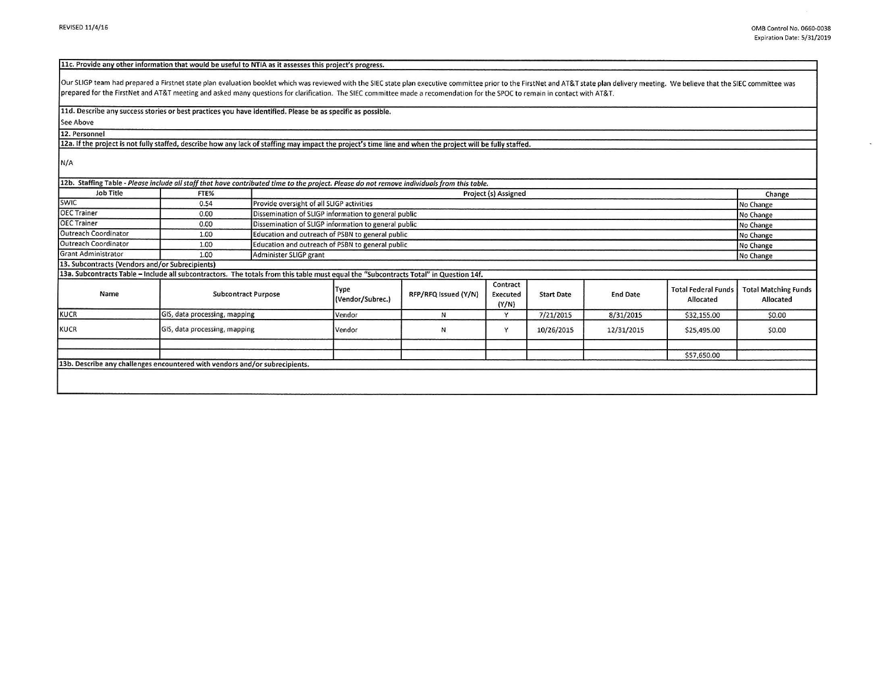ù.

## 11c. Provide any other information that would be useful to NTIA as it assesses this project's progress.

Our SLIGP team had prepared a Firstnet state plan evaluation booklet which was reviewed with the SIEC state plan executive committee prior to the FirstNet and AT&T state plan delivery meeting. We believe that the SIEC comm prepared for the FirstNet and AT&T meeting and asked many questions for clarification. The SIEC committee made a recomendation for the SPOC to remain in contact with AT&T.

## 11d. Describe any success stories or best practices you have identified. Please be as specific as possible.

See Above 12. Personnel

12a. If the project is not fully staffed, describe how any lack of staffing may impact the project's time line and when the project will be fully staffed.

N/A

| Job Title                                       | FTE%                                                                                                                                  |                            | Project (s) Assigned                                          |                      |                               |                   |                 |                                         | Change                                   |
|-------------------------------------------------|---------------------------------------------------------------------------------------------------------------------------------------|----------------------------|---------------------------------------------------------------|----------------------|-------------------------------|-------------------|-----------------|-----------------------------------------|------------------------------------------|
| <b>SWIC</b>                                     | 0.54                                                                                                                                  |                            | Provide oversight of all SLIGP activities                     |                      |                               |                   |                 |                                         | No Change                                |
| <b>OEC Trainer</b>                              | 0.00                                                                                                                                  |                            | Dissemination of SLIGP information to general public          |                      |                               |                   |                 |                                         | No Change                                |
| <b>OEC Trainer</b>                              | 0.00                                                                                                                                  |                            | Dissemination of SLIGP information to general public          |                      |                               |                   |                 |                                         | No Change                                |
| Outreach Coordinator                            | 1.00                                                                                                                                  |                            | Education and outreach of PSBN to general public              |                      |                               |                   |                 |                                         | No Change                                |
| Outreach Coordinator                            | 1.00                                                                                                                                  |                            | Education and outreach of PSBN to general public<br>No Change |                      |                               |                   |                 |                                         |                                          |
| <b>Grant Administrator</b>                      | 1.00                                                                                                                                  |                            | Administer SLIGP grant<br>No Change                           |                      |                               |                   |                 |                                         |                                          |
| 13. Subcontracts (Vendors and/or Subrecipients) |                                                                                                                                       |                            |                                                               |                      |                               |                   |                 |                                         |                                          |
|                                                 | 13a. Subcontracts Table - Include all subcontractors. The totals from this table must equal the "Subcontracts Total" in Question 14f. |                            |                                                               |                      |                               |                   |                 |                                         |                                          |
| Name                                            |                                                                                                                                       | <b>Subcontract Purpose</b> |                                                               | RFP/RFQ Issued (Y/N) | Contract<br>Executed<br>(Y/N) | <b>Start Date</b> | <b>End Date</b> | <b>Total Federal Funds</b><br>Allocated | <b>Total Matching Funds</b><br>Allocated |
| KUCR                                            | GIS, data processing, mapping                                                                                                         |                            | Vendor                                                        | N                    | Y                             | 7/21/2015         | 8/31/2015       | \$32,155.00                             | \$0.00                                   |
| GIS, data processing, mapping<br>KUCR           |                                                                                                                                       |                            | Vendor                                                        | N                    | Y                             | 10/26/2015        | 12/31/2015      | \$25,495.00                             | \$0.00                                   |
|                                                 |                                                                                                                                       |                            |                                                               |                      |                               |                   |                 | \$57,650.00                             |                                          |
|                                                 | 13b. Describe any challenges encountered with vendors and/or subrecipients.                                                           |                            |                                                               |                      |                               |                   |                 |                                         |                                          |
|                                                 |                                                                                                                                       |                            |                                                               |                      |                               |                   |                 |                                         |                                          |